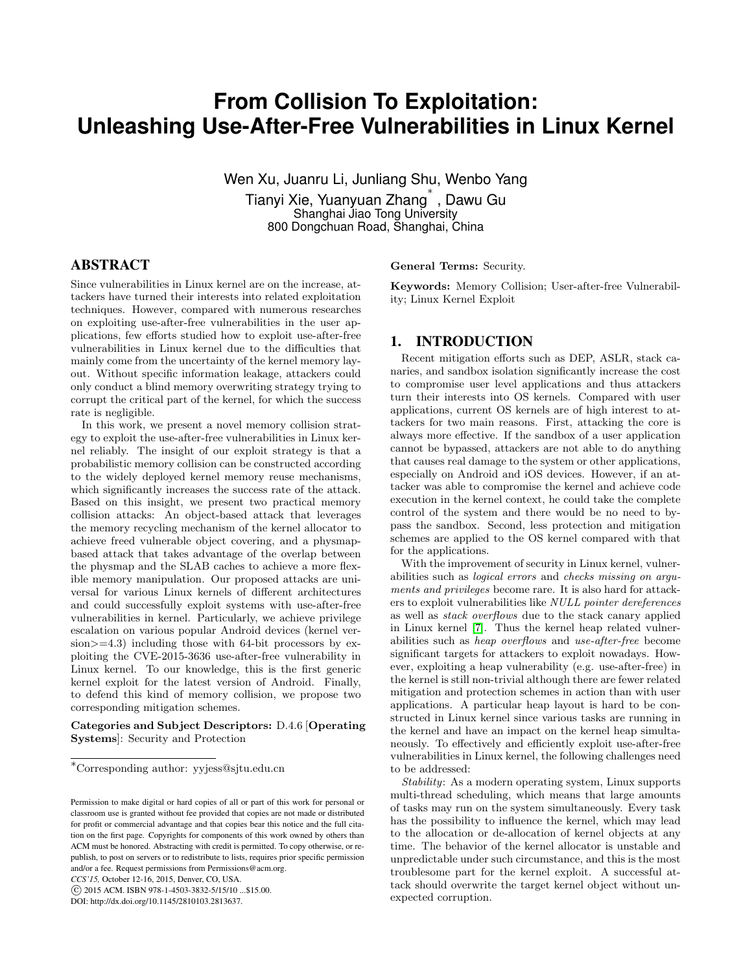# **From Collision To Exploitation: Unleashing Use-After-Free Vulnerabilities in Linux Kernel**

Wen Xu, Juanru Li, Junliang Shu, Wenbo Yang Tianyi Xie, Yuanyuan Zhang ∗ , Dawu Gu Shanghai Jiao Tong University 800 Dongchuan Road, Shanghai, China

# ABSTRACT

Since vulnerabilities in Linux kernel are on the increase, attackers have turned their interests into related exploitation techniques. However, compared with numerous researches on exploiting use-after-free vulnerabilities in the user applications, few efforts studied how to exploit use-after-free vulnerabilities in Linux kernel due to the difficulties that mainly come from the uncertainty of the kernel memory layout. Without specific information leakage, attackers could only conduct a blind memory overwriting strategy trying to corrupt the critical part of the kernel, for which the success rate is negligible.

In this work, we present a novel memory collision strategy to exploit the use-after-free vulnerabilities in Linux kernel reliably. The insight of our exploit strategy is that a probabilistic memory collision can be constructed according to the widely deployed kernel memory reuse mechanisms, which significantly increases the success rate of the attack. Based on this insight, we present two practical memory collision attacks: An object-based attack that leverages the memory recycling mechanism of the kernel allocator to achieve freed vulnerable object covering, and a physmapbased attack that takes advantage of the overlap between the physmap and the SLAB caches to achieve a more flexible memory manipulation. Our proposed attacks are universal for various Linux kernels of different architectures and could successfully exploit systems with use-after-free vulnerabilities in kernel. Particularly, we achieve privilege escalation on various popular Android devices (kernel ver- $\sin \geq 4.3$ ) including those with 64-bit processors by exploiting the CVE-2015-3636 use-after-free vulnerability in Linux kernel. To our knowledge, this is the first generic kernel exploit for the latest version of Android. Finally, to defend this kind of memory collision, we propose two corresponding mitigation schemes.

Categories and Subject Descriptors: D.4.6 [Operating Systems]: Security and Protection

*CCS'15,* October 12-16, 2015, Denver, CO, USA.

c 2015 ACM. ISBN 978-1-4503-3832-5/15/10 ...\$15.00.

DOI: http://dx.doi.org/10.1145/2810103.2813637.

General Terms: Security.

Keywords: Memory Collision; User-after-free Vulnerability; Linux Kernel Exploit

# 1. INTRODUCTION

Recent mitigation efforts such as DEP, ASLR, stack canaries, and sandbox isolation significantly increase the cost to compromise user level applications and thus attackers turn their interests into OS kernels. Compared with user applications, current OS kernels are of high interest to attackers for two main reasons. First, attacking the core is always more effective. If the sandbox of a user application cannot be bypassed, attackers are not able to do anything that causes real damage to the system or other applications, especially on Android and iOS devices. However, if an attacker was able to compromise the kernel and achieve code execution in the kernel context, he could take the complete control of the system and there would be no need to bypass the sandbox. Second, less protection and mitigation schemes are applied to the OS kernel compared with that for the applications.

With the improvement of security in Linux kernel, vulnerabilities such as logical errors and checks missing on arguments and privileges become rare. It is also hard for attackers to exploit vulnerabilities like NULL pointer dereferences as well as stack overflows due to the stack canary applied in Linux kernel [\[7\]](#page-10-0). Thus the kernel heap related vulnerabilities such as heap overflows and use-after-free become significant targets for attackers to exploit nowadays. However, exploiting a heap vulnerability (e.g. use-after-free) in the kernel is still non-trivial although there are fewer related mitigation and protection schemes in action than with user applications. A particular heap layout is hard to be constructed in Linux kernel since various tasks are running in the kernel and have an impact on the kernel heap simultaneously. To effectively and efficiently exploit use-after-free vulnerabilities in Linux kernel, the following challenges need to be addressed:

Stability: As a modern operating system, Linux supports multi-thread scheduling, which means that large amounts of tasks may run on the system simultaneously. Every task has the possibility to influence the kernel, which may lead to the allocation or de-allocation of kernel objects at any time. The behavior of the kernel allocator is unstable and unpredictable under such circumstance, and this is the most troublesome part for the kernel exploit. A successful attack should overwrite the target kernel object without unexpected corruption.

<sup>∗</sup>Corresponding author: yyjess@sjtu.edu.cn

Permission to make digital or hard copies of all or part of this work for personal or classroom use is granted without fee provided that copies are not made or distributed for profit or commercial advantage and that copies bear this notice and the full citation on the first page. Copyrights for components of this work owned by others than ACM must be honored. Abstracting with credit is permitted. To copy otherwise, or republish, to post on servers or to redistribute to lists, requires prior specific permission and/or a fee. Request permissions from Permissions@acm.org.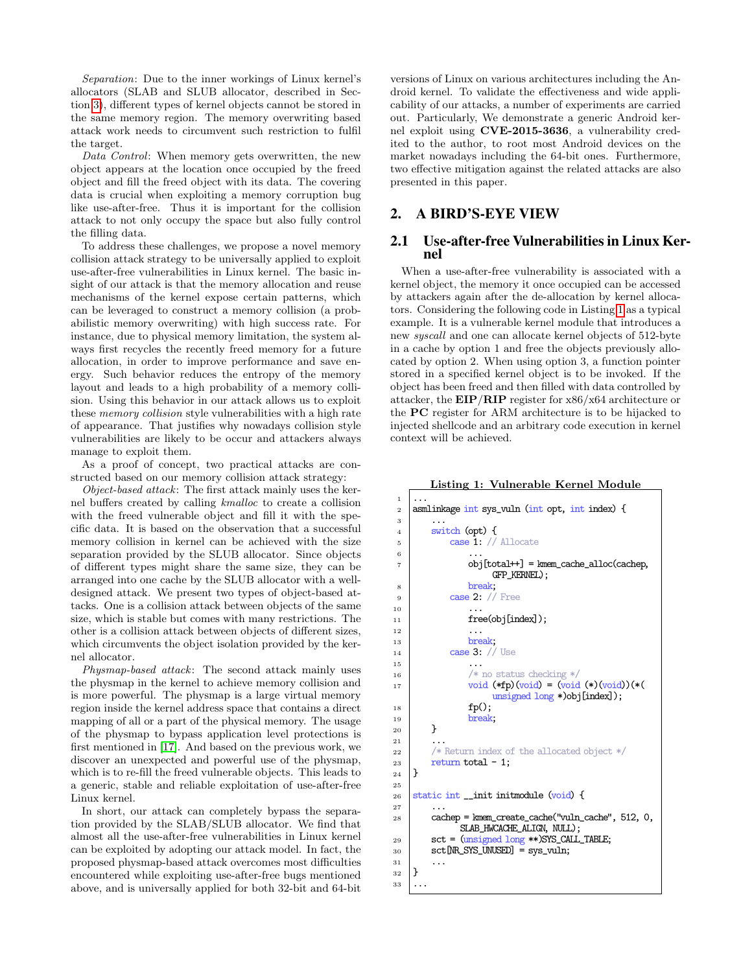Separation: Due to the inner workings of Linux kernel's allocators (SLAB and SLUB allocator, described in Section [3\)](#page-2-0), different types of kernel objects cannot be stored in the same memory region. The memory overwriting based attack work needs to circumvent such restriction to fulfil the target.

Data Control: When memory gets overwritten, the new object appears at the location once occupied by the freed object and fill the freed object with its data. The covering data is crucial when exploiting a memory corruption bug like use-after-free. Thus it is important for the collision attack to not only occupy the space but also fully control the filling data.

To address these challenges, we propose a novel memory collision attack strategy to be universally applied to exploit use-after-free vulnerabilities in Linux kernel. The basic insight of our attack is that the memory allocation and reuse mechanisms of the kernel expose certain patterns, which can be leveraged to construct a memory collision (a probabilistic memory overwriting) with high success rate. For instance, due to physical memory limitation, the system always first recycles the recently freed memory for a future allocation, in order to improve performance and save energy. Such behavior reduces the entropy of the memory layout and leads to a high probability of a memory collision. Using this behavior in our attack allows us to exploit these memory collision style vulnerabilities with a high rate of appearance. That justifies why nowadays collision style vulnerabilities are likely to be occur and attackers always manage to exploit them.

As a proof of concept, two practical attacks are constructed based on our memory collision attack strategy:

Object-based attack: The first attack mainly uses the kernel buffers created by calling kmalloc to create a collision with the freed vulnerable object and fill it with the specific data. It is based on the observation that a successful memory collision in kernel can be achieved with the size separation provided by the SLUB allocator. Since objects of different types might share the same size, they can be arranged into one cache by the SLUB allocator with a welldesigned attack. We present two types of object-based attacks. One is a collision attack between objects of the same size, which is stable but comes with many restrictions. The other is a collision attack between objects of different sizes, which circumvents the object isolation provided by the kernel allocator.

Physmap-based attack: The second attack mainly uses the physmap in the kernel to achieve memory collision and is more powerful. The physmap is a large virtual memory region inside the kernel address space that contains a direct mapping of all or a part of the physical memory. The usage of the physmap to bypass application level protections is first mentioned in [\[17\]](#page-11-0). And based on the previous work, we discover an unexpected and powerful use of the physmap, which is to re-fill the freed vulnerable objects. This leads to a generic, stable and reliable exploitation of use-after-free Linux kernel.

In short, our attack can completely bypass the separation provided by the SLAB/SLUB allocator. We find that almost all the use-after-free vulnerabilities in Linux kernel can be exploited by adopting our attack model. In fact, the proposed physmap-based attack overcomes most difficulties encountered while exploiting use-after-free bugs mentioned above, and is universally applied for both 32-bit and 64-bit versions of Linux on various architectures including the Android kernel. To validate the effectiveness and wide applicability of our attacks, a number of experiments are carried out. Particularly, We demonstrate a generic Android kernel exploit using CVE-2015-3636, a vulnerability credited to the author, to root most Android devices on the market nowadays including the 64-bit ones. Furthermore, two effective mitigation against the related attacks are also presented in this paper.

## 2. A BIRD'S-EYE VIEW

#### <span id="page-1-1"></span>2.1 Use-after-free Vulnerabilities in Linux Kernel

When a use-after-free vulnerability is associated with a kernel object, the memory it once occupied can be accessed by attackers again after the de-allocation by kernel allocators. Considering the following code in Listing [1](#page-1-0) as a typical example. It is a vulnerable kernel module that introduces a new syscall and one can allocate kernel objects of 512-byte in a cache by option 1 and free the objects previously allocated by option 2. When using option 3, a function pointer stored in a specified kernel object is to be invoked. If the object has been freed and then filled with data controlled by attacker, the EIP/RIP register for x86/x64 architecture or the PC register for ARM architecture is to be hijacked to injected shellcode and an arbitrary code execution in kernel context will be achieved.

| Listing 1: Vulnerable Kernel Module |  |
|-------------------------------------|--|
|-------------------------------------|--|

<span id="page-1-0"></span>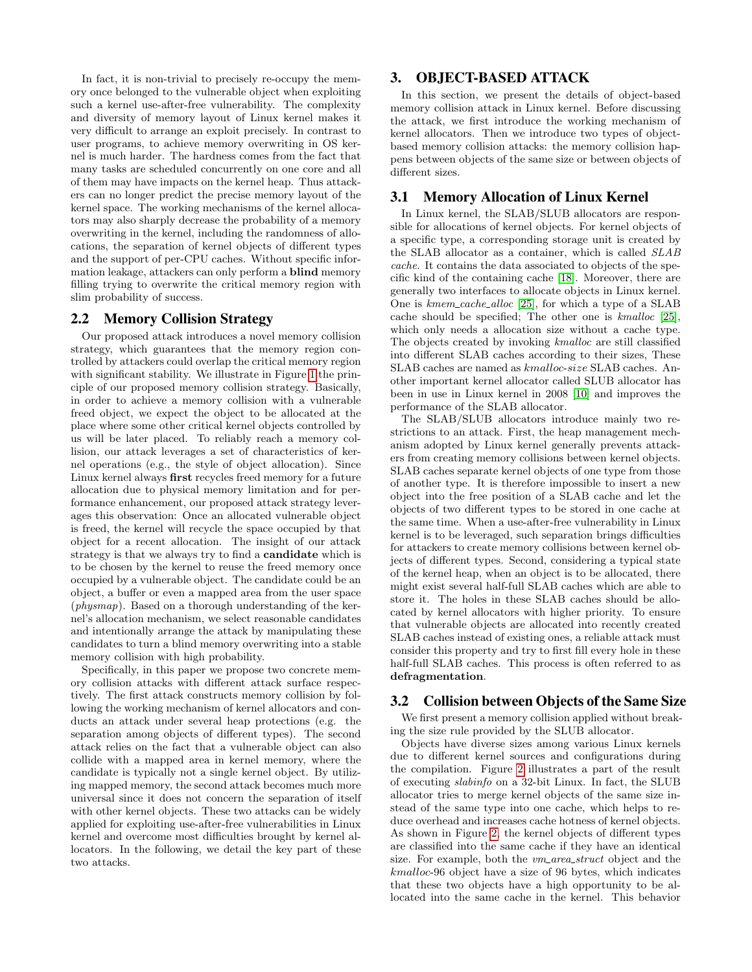In fact, it is non-trivial to precisely re-occupy the memory once belonged to the vulnerable object when exploiting such a kernel use-after-free vulnerability. The complexity and diversity of memory layout of Linux kernel makes it very difficult to arrange an exploit precisely. In contrast to user programs, to achieve memory overwriting in OS kernel is much harder. The hardness comes from the fact that many tasks are scheduled concurrently on one core and all of them may have impacts on the kernel heap. Thus attackers can no longer predict the precise memory layout of the kernel space. The working mechanisms of the kernel allocators may also sharply decrease the probability of a memory overwriting in the kernel, including the randomness of allocations, the separation of kernel objects of different types and the support of per-CPU caches. Without specific information leakage, attackers can only perform a blind memory filling trying to overwrite the critical memory region with slim probability of success.

### 2.2 Memory Collision Strategy

Our proposed attack introduces a novel memory collision strategy, which guarantees that the memory region controlled by attackers could overlap the critical memory region with significant stability. We illustrate in Figure [1](#page-3-0) the principle of our proposed memory collision strategy. Basically, in order to achieve a memory collision with a vulnerable freed object, we expect the object to be allocated at the place where some other critical kernel objects controlled by us will be later placed. To reliably reach a memory collision, our attack leverages a set of characteristics of kernel operations (e.g., the style of object allocation). Since Linux kernel always first recycles freed memory for a future allocation due to physical memory limitation and for performance enhancement, our proposed attack strategy leverages this observation: Once an allocated vulnerable object is freed, the kernel will recycle the space occupied by that object for a recent allocation. The insight of our attack strategy is that we always try to find a candidate which is to be chosen by the kernel to reuse the freed memory once occupied by a vulnerable object. The candidate could be an object, a buffer or even a mapped area from the user space (physmap). Based on a thorough understanding of the kernel's allocation mechanism, we select reasonable candidates and intentionally arrange the attack by manipulating these candidates to turn a blind memory overwriting into a stable memory collision with high probability.

Specifically, in this paper we propose two concrete memory collision attacks with different attack surface respectively. The first attack constructs memory collision by following the working mechanism of kernel allocators and conducts an attack under several heap protections (e.g. the separation among objects of different types). The second attack relies on the fact that a vulnerable object can also collide with a mapped area in kernel memory, where the candidate is typically not a single kernel object. By utilizing mapped memory, the second attack becomes much more universal since it does not concern the separation of itself with other kernel objects. These two attacks can be widely applied for exploiting use-after-free vulnerabilities in Linux kernel and overcome most difficulties brought by kernel allocators. In the following, we detail the key part of these two attacks.

### <span id="page-2-0"></span>3. OBJECT-BASED ATTACK

In this section, we present the details of object-based memory collision attack in Linux kernel. Before discussing the attack, we first introduce the working mechanism of kernel allocators. Then we introduce two types of objectbased memory collision attacks: the memory collision happens between objects of the same size or between objects of different sizes.

## 3.1 Memory Allocation of Linux Kernel

In Linux kernel, the SLAB/SLUB allocators are responsible for allocations of kernel objects. For kernel objects of a specific type, a corresponding storage unit is created by the SLAB allocator as a container, which is called SLAB cache. It contains the data associated to objects of the specific kind of the containing cache [\[18\]](#page-11-1). Moreover, there are generally two interfaces to allocate objects in Linux kernel. One is  $kmem\_cache\_alloc$  [\[25\]](#page-11-2), for which a type of a SLAB cache should be specified; The other one is kmalloc [\[25\]](#page-11-2), which only needs a allocation size without a cache type. The objects created by invoking kmalloc are still classified into different SLAB caches according to their sizes, These SLAB caches are named as kmalloc-size SLAB caches. Another important kernel allocator called SLUB allocator has been in use in Linux kernel in 2008 [\[10\]](#page-10-1) and improves the performance of the SLAB allocator.

The SLAB/SLUB allocators introduce mainly two restrictions to an attack. First, the heap management mechanism adopted by Linux kernel generally prevents attackers from creating memory collisions between kernel objects. SLAB caches separate kernel objects of one type from those of another type. It is therefore impossible to insert a new object into the free position of a SLAB cache and let the objects of two different types to be stored in one cache at the same time. When a use-after-free vulnerability in Linux kernel is to be leveraged, such separation brings difficulties for attackers to create memory collisions between kernel objects of different types. Second, considering a typical state of the kernel heap, when an object is to be allocated, there might exist several half-full SLAB caches which are able to store it. The holes in these SLAB caches should be allocated by kernel allocators with higher priority. To ensure that vulnerable objects are allocated into recently created SLAB caches instead of existing ones, a reliable attack must consider this property and try to first fill every hole in these half-full SLAB caches. This process is often referred to as defragmentation.

# <span id="page-2-1"></span>3.2 Collision between Objects of the Same Size

We first present a memory collision applied without breaking the size rule provided by the SLUB allocator.

Objects have diverse sizes among various Linux kernels due to different kernel sources and configurations during the compilation. Figure [2](#page-3-1) illustrates a part of the result of executing slabinfo on a 32-bit Linux. In fact, the SLUB allocator tries to merge kernel objects of the same size instead of the same type into one cache, which helps to reduce overhead and increases cache hotness of kernel objects. As shown in Figure [2,](#page-3-1) the kernel objects of different types are classified into the same cache if they have an identical size. For example, both the  $vm\_area\_struct$  object and the kmalloc-96 object have a size of 96 bytes, which indicates that these two objects have a high opportunity to be allocated into the same cache in the kernel. This behavior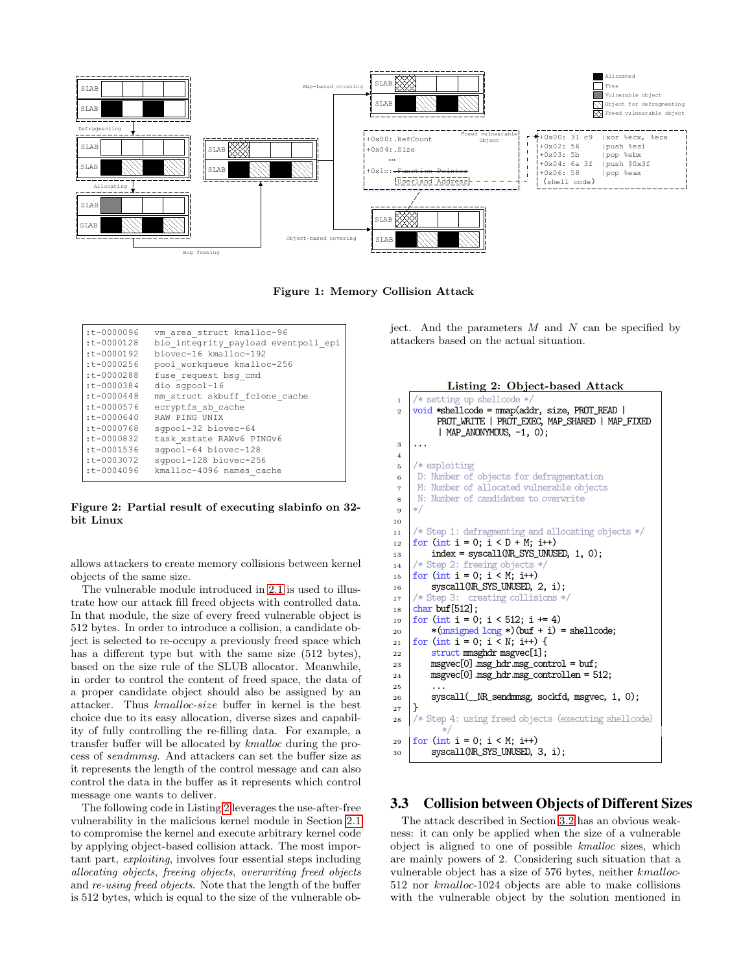

Figure 1: Memory Collision Attack

| :t-0000096      | vm area struct kmalloc-96           |
|-----------------|-------------------------------------|
| $: t - 0000128$ | bio integrity payload eventpoll epi |
| $: t - 0000192$ | biovec-16 kmalloc-192               |
| $: t - 0000256$ | pool workqueue kmalloc-256          |
| $: t - 0000288$ | fuse request bsg cmd                |
| :t-0000384      | dio sqpool-16                       |
| $: t - 0000448$ | mm struct skbuff fclone cache       |
| $: t - 0000576$ | ecryptfs sb cache                   |
| :t-0000640      | RAW PING UNIX                       |
| $: t - 0000768$ | sqpool-32 biovec-64                 |
| :t-0000832      | task xstate RAWv6 PINGv6            |
| :t-0001536      | sqpool-64 biovec-128                |
| :t-0003072      | sqpool-128 biovec-256               |
| :t-0004096      | kmalloc-4096 names cache            |

Figure 2: Partial result of executing slabinfo on 32 bit Linux

allows attackers to create memory collisions between kernel objects of the same size.

The vulnerable module introduced in [2.1](#page-1-1) is used to illustrate how our attack fill freed objects with controlled data. In that module, the size of every freed vulnerable object is 512 bytes. In order to introduce a collision, a candidate object is selected to re-occupy a previously freed space which has a different type but with the same size  $(512 \text{ bytes})$ , based on the size rule of the SLUB allocator. Meanwhile, in order to control the content of freed space, the data of a proper candidate object should also be assigned by an attacker. Thus kmalloc-size buffer in kernel is the best choice due to its easy allocation, diverse sizes and capability of fully controlling the re-filling data. For example, a transfer buffer will be allocated by kmalloc during the process of sendmmsg. And attackers can set the buffer size as it represents the length of the control message and can also control the data in the buffer as it represents which control message one wants to deliver.

The following code in Listing [2](#page-3-2) leverages the use-after-free vulnerability in the malicious kernel module in Section [2.1](#page-1-1) to compromise the kernel and execute arbitrary kernel code by applying object-based collision attack. The most important part, exploiting, involves four essential steps including allocating objects, freeing objects, overwriting freed objects and re-using freed objects. Note that the length of the buffer is 512 bytes, which is equal to the size of the vulnerable ob<span id="page-3-0"></span>ject. And the parameters  $M$  and  $N$  can be specified by attackers based on the actual situation.

<span id="page-3-2"></span><span id="page-3-1"></span>Listing 2: Object-based Attack  $\frac{1}{2}$  /\* setting up shellcode \*/<br> $\frac{1}{2}$  void \*shellcode = mmap(add <sup>2</sup> void \*shellcode = mmap(addr, size, PROT\_READ | PROT\_WRITE | PROT\_EXEC, MAP\_SHARED | MAP\_FIXED | MAP\_ANONYMOUS, -1, 0);  $3 \mid \ldots$ 4 <sup>5</sup> /\* exploiting <sup>6</sup> D: Number of objects for defragmentation 7 M: Number of allocated vulnerable objects<br>8 N: Number of candidates to overwrite N: Number of candidates to overwrite <sup>9</sup> \*/ 10 <sup>11</sup> /\* Step 1: defragmenting and allocating objects \*/ 12 | for (int i = 0;  $\bar{i}$  < D + M; i++)  $_{13}$  index = syscall(NR\_SYS\_UNUSED, 1, 0); <sup>14</sup> /\* Step 2: freeing objects \*/ 15 | for  $(int i = 0; i < M; i++)$ 16 **syscall(NR\_SYS\_UNUSED, 2, i);**<br>17 /\* Step 3: creating collisions \* \* Step 3: creating collisions \*/ 18 char buf[512]; 19 for (int i = 0; i < 512; i += 4) 20  $*$  (unsigned long  $*$ ) (buf + i) = shellcode; 21 | for (int i = 0; i < N; i++) { 22 struct mmsghdr msgvec[1];  $23$  msgvec[0] msg\_hdr.msg\_control = buf; 24 msgvec[0] msg\_hdr.msg\_controllen = 512; <sup>25</sup> ...  $26$  syscall( $NR$ \_sendmmsg, sockfd, msgvec, 1, 0);  $_{27}$  | } <sup>28</sup> /\* Step 4: using freed objects (executing shellcode) \*/ 29 | for  $(int i = 0; i < M; i++)$  $30$  syscall(NR\_SYS\_UNUSED, 3, i);

### <span id="page-3-3"></span>3.3 Collision between Objects of Different Sizes

The attack described in Section [3.2](#page-2-1) has an obvious weakness: it can only be applied when the size of a vulnerable object is aligned to one of possible kmalloc sizes, which are mainly powers of 2. Considering such situation that a vulnerable object has a size of 576 bytes, neither kmalloc-512 nor kmalloc-1024 objects are able to make collisions with the vulnerable object by the solution mentioned in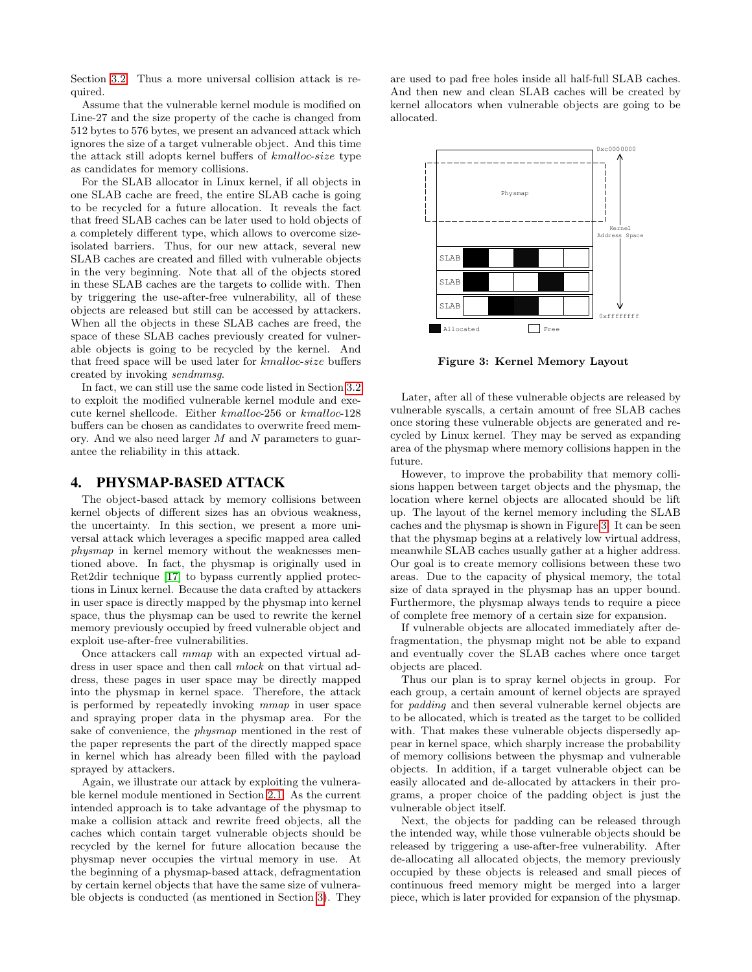Section [3.2.](#page-2-1) Thus a more universal collision attack is required.

Assume that the vulnerable kernel module is modified on Line-27 and the size property of the cache is changed from 512 bytes to 576 bytes, we present an advanced attack which ignores the size of a target vulnerable object. And this time the attack still adopts kernel buffers of kmalloc-size type as candidates for memory collisions.

For the SLAB allocator in Linux kernel, if all objects in one SLAB cache are freed, the entire SLAB cache is going to be recycled for a future allocation. It reveals the fact that freed SLAB caches can be later used to hold objects of a completely different type, which allows to overcome sizeisolated barriers. Thus, for our new attack, several new SLAB caches are created and filled with vulnerable objects in the very beginning. Note that all of the objects stored in these SLAB caches are the targets to collide with. Then by triggering the use-after-free vulnerability, all of these objects are released but still can be accessed by attackers. When all the objects in these SLAB caches are freed, the space of these SLAB caches previously created for vulnerable objects is going to be recycled by the kernel. And that freed space will be used later for kmalloc-size buffers created by invoking sendmmsg.

In fact, we can still use the same code listed in Section [3.2](#page-2-1) to exploit the modified vulnerable kernel module and execute kernel shellcode. Either kmalloc-256 or kmalloc-128 buffers can be chosen as candidates to overwrite freed memory. And we also need larger M and N parameters to guarantee the reliability in this attack.

#### <span id="page-4-1"></span>4. PHYSMAP-BASED ATTACK

The object-based attack by memory collisions between kernel objects of different sizes has an obvious weakness, the uncertainty. In this section, we present a more universal attack which leverages a specific mapped area called physmap in kernel memory without the weaknesses mentioned above. In fact, the physmap is originally used in Ret2dir technique [\[17\]](#page-11-0) to bypass currently applied protections in Linux kernel. Because the data crafted by attackers in user space is directly mapped by the physmap into kernel space, thus the physmap can be used to rewrite the kernel memory previously occupied by freed vulnerable object and exploit use-after-free vulnerabilities.

Once attackers call mmap with an expected virtual address in user space and then call mlock on that virtual address, these pages in user space may be directly mapped into the physmap in kernel space. Therefore, the attack is performed by repeatedly invoking mmap in user space and spraying proper data in the physmap area. For the sake of convenience, the physmap mentioned in the rest of the paper represents the part of the directly mapped space in kernel which has already been filled with the payload sprayed by attackers.

Again, we illustrate our attack by exploiting the vulnerable kernel module mentioned in Section [2.1.](#page-1-1) As the current intended approach is to take advantage of the physmap to make a collision attack and rewrite freed objects, all the caches which contain target vulnerable objects should be recycled by the kernel for future allocation because the physmap never occupies the virtual memory in use. At the beginning of a physmap-based attack, defragmentation by certain kernel objects that have the same size of vulnerable objects is conducted (as mentioned in Section [3\)](#page-2-0). They are used to pad free holes inside all half-full SLAB caches. And then new and clean SLAB caches will be created by kernel allocators when vulnerable objects are going to be allocated.



<span id="page-4-0"></span>Figure 3: Kernel Memory Layout

Later, after all of these vulnerable objects are released by vulnerable syscalls, a certain amount of free SLAB caches once storing these vulnerable objects are generated and recycled by Linux kernel. They may be served as expanding area of the physmap where memory collisions happen in the future.

However, to improve the probability that memory collisions happen between target objects and the physmap, the location where kernel objects are allocated should be lift up. The layout of the kernel memory including the SLAB caches and the physmap is shown in Figure [3.](#page-4-0) It can be seen that the physmap begins at a relatively low virtual address, meanwhile SLAB caches usually gather at a higher address. Our goal is to create memory collisions between these two areas. Due to the capacity of physical memory, the total size of data sprayed in the physmap has an upper bound. Furthermore, the physmap always tends to require a piece of complete free memory of a certain size for expansion.

If vulnerable objects are allocated immediately after defragmentation, the physmap might not be able to expand and eventually cover the SLAB caches where once target objects are placed.

Thus our plan is to spray kernel objects in group. For each group, a certain amount of kernel objects are sprayed for padding and then several vulnerable kernel objects are to be allocated, which is treated as the target to be collided with. That makes these vulnerable objects dispersedly appear in kernel space, which sharply increase the probability of memory collisions between the physmap and vulnerable objects. In addition, if a target vulnerable object can be easily allocated and de-allocated by attackers in their programs, a proper choice of the padding object is just the vulnerable object itself.

Next, the objects for padding can be released through the intended way, while those vulnerable objects should be released by triggering a use-after-free vulnerability. After de-allocating all allocated objects, the memory previously occupied by these objects is released and small pieces of continuous freed memory might be merged into a larger piece, which is later provided for expansion of the physmap.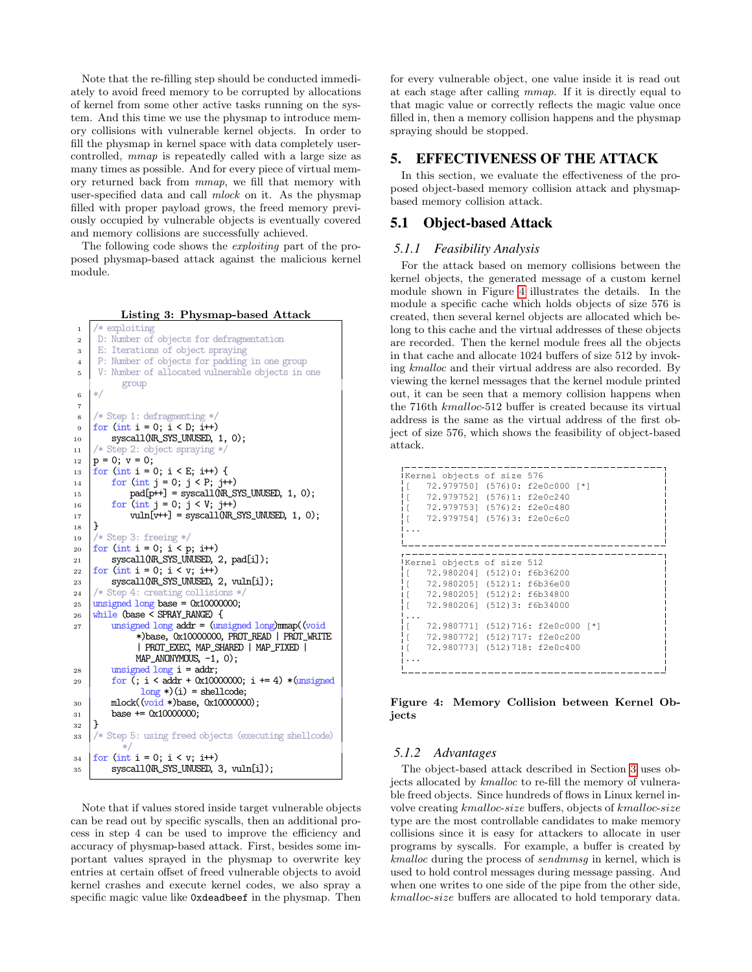Note that the re-filling step should be conducted immediately to avoid freed memory to be corrupted by allocations of kernel from some other active tasks running on the system. And this time we use the physmap to introduce memory collisions with vulnerable kernel objects. In order to fill the physmap in kernel space with data completely usercontrolled, mmap is repeatedly called with a large size as many times as possible. And for every piece of virtual memory returned back from mmap, we fill that memory with user-specified data and call mlock on it. As the physmap filled with proper payload grows, the freed memory previously occupied by vulnerable objects is eventually covered and memory collisions are successfully achieved.

The following code shows the exploiting part of the proposed physmap-based attack against the malicious kernel module.

Listing 3: Physmap-based Attack

```
1 /* exploiting
2 D: Number of objects for defragmentation
3 E: Iterations of object spraying
4 P: Number of objects for padding in one group
5 V: Number of allocated vulnerable objects in one
          group
6 \mid * \rangle7
8 /* Step 1: defragmenting */
9 for (int i = 0; i < 0; i++)
10 syscall(NR_SYS_UNUSED, 1, 0);<br>11 /* Step 2: object spraying */
     11 /* Step 2: object spraying */
_{12} | p = 0; v = 0;
13 | for (int i = 0; i < E; i++) {
14 for (int j = 0; j < P; j++)_{15} | pad[p++] = syscall(\overline{\text{WR}}_SYS_UNUSED, 1, 0);
16 | for (int j = 0; j < V; j++)17 vuln[v++] = syscall(NR_SYS_UNUSED, 1, 0);
18 }
    19 /* Step 3: freeing */
20 for (int i = 0; i < p; i++)
_{21} syscall(NR_SYS_UNUSED, 2, pad[i]);
22 for (int i = 0; i < v; i++)
23 syscall(NR_SYS_UNUSED, 2, vuln[i]);<br>24 /* Step 4: creating collisions */
     24 /* Step 4: creating collisions */
25 unsigned long base = 0x10000000;
26 while (base < SPRAY_RANGE) {
27 unsigned long addr = (unsigned long)mmap((void
              *)base, 0x10000000, PROT_READ | PROT_WRITE
              | PROT_EXEC, MAP_SHARED | MAP_FIXED |
             MAP_ANONYMOUS, -1, 0);
28 unsigned long i = addr;
29 for (i, i < addr + 0x10000000; i += 4) * (unsigned)long *)(i) = shellcode;30 mlock((void *)base, 0x10000000);
31 base += 0x10000000:
32 \mid33 /* Step 5: using freed objects (executing shellcode)
           */
34 | for (int i = 0; i < v; i++)
35 syscall(NR_SYS_UNUSED, 3, vuln[i]);
```
Note that if values stored inside target vulnerable objects can be read out by specific syscalls, then an additional process in step 4 can be used to improve the efficiency and accuracy of physmap-based attack. First, besides some important values sprayed in the physmap to overwrite key entries at certain offset of freed vulnerable objects to avoid kernel crashes and execute kernel codes, we also spray a specific magic value like 0xdeadbeef in the physmap. Then for every vulnerable object, one value inside it is read out at each stage after calling mmap. If it is directly equal to that magic value or correctly reflects the magic value once filled in, then a memory collision happens and the physmap spraying should be stopped.

# 5. EFFECTIVENESS OF THE ATTACK

In this section, we evaluate the effectiveness of the proposed object-based memory collision attack and physmapbased memory collision attack.

# 5.1 Object-based Attack

### *5.1.1 Feasibility Analysis*

For the attack based on memory collisions between the kernel objects, the generated message of a custom kernel module shown in Figure [4](#page-5-0) illustrates the details. In the module a specific cache which holds objects of size 576 is created, then several kernel objects are allocated which belong to this cache and the virtual addresses of these objects are recorded. Then the kernel module frees all the objects in that cache and allocate 1024 buffers of size 512 by invoking kmalloc and their virtual address are also recorded. By viewing the kernel messages that the kernel module printed out, it can be seen that a memory collision happens when the 716th kmalloc-512 buffer is created because its virtual address is the same as the virtual address of the first object of size 576, which shows the feasibility of object-based attack.

| Kernel objects of size 576<br>72.979752] (576)1: f2e0c240<br>72.9797531 (576)2: f2e0c480<br>72.9797541 (576)3: f2e0c6c0                                  | 72.9797501 (576)0: f2e0c000 [*]   |  |
|----------------------------------------------------------------------------------------------------------------------------------------------------------|-----------------------------------|--|
| Kernel objects of size 512<br>72.980204] (512)0: f6b36200<br>72.9802051 (512)1: f6b36e00<br>[ 72.980205] (512)2: f6b34800<br>72.9802061 (512)3: f6b34000 |                                   |  |
| 72.9807721 (512)717: f2e0c200<br>72.9807731 (512)718: f2e0c400                                                                                           | 72.980771] (512)716: f2e0c000 [*] |  |

<span id="page-5-0"></span>Figure 4: Memory Collision between Kernel Objects

### *5.1.2 Advantages*

The object-based attack described in Section [3](#page-2-0) uses objects allocated by kmalloc to re-fill the memory of vulnerable freed objects. Since hundreds of flows in Linux kernel involve creating kmalloc-size buffers, objects of kmalloc-size type are the most controllable candidates to make memory collisions since it is easy for attackers to allocate in user programs by syscalls. For example, a buffer is created by kmalloc during the process of sendmmsg in kernel, which is used to hold control messages during message passing. And when one writes to one side of the pipe from the other side, kmalloc-size buffers are allocated to hold temporary data.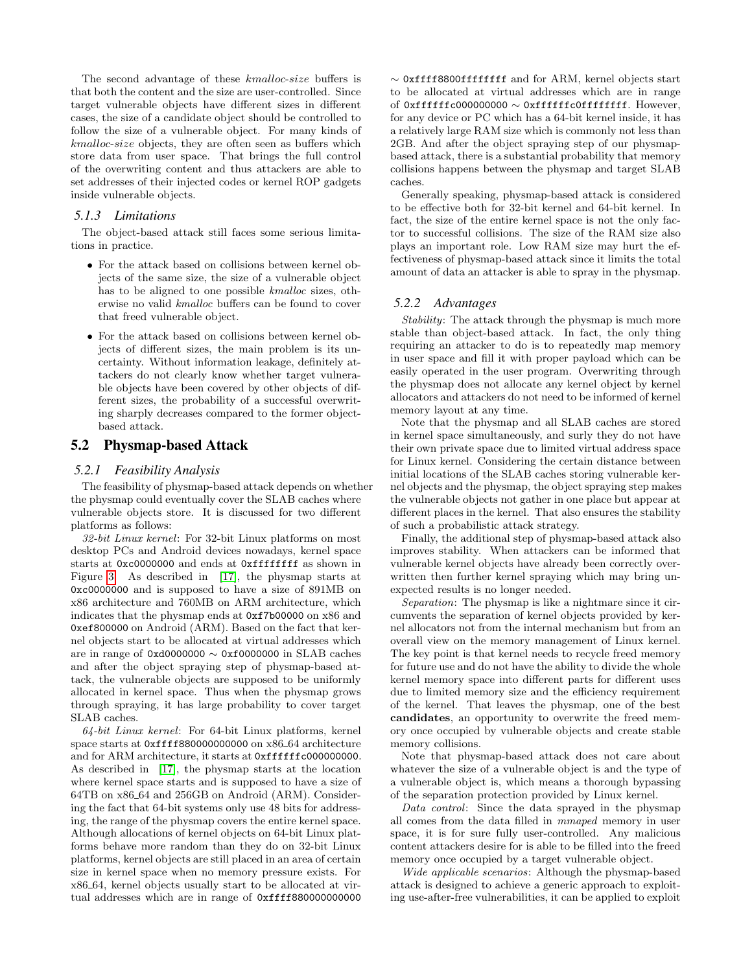The second advantage of these kmalloc-size buffers is that both the content and the size are user-controlled. Since target vulnerable objects have different sizes in different cases, the size of a candidate object should be controlled to follow the size of a vulnerable object. For many kinds of kmalloc-size objects, they are often seen as buffers which store data from user space. That brings the full control of the overwriting content and thus attackers are able to set addresses of their injected codes or kernel ROP gadgets inside vulnerable objects.

#### *5.1.3 Limitations*

The object-based attack still faces some serious limitations in practice.

- For the attack based on collisions between kernel objects of the same size, the size of a vulnerable object has to be aligned to one possible kmalloc sizes, otherwise no valid kmalloc buffers can be found to cover that freed vulnerable object.
- For the attack based on collisions between kernel objects of different sizes, the main problem is its uncertainty. Without information leakage, definitely attackers do not clearly know whether target vulnerable objects have been covered by other objects of different sizes, the probability of a successful overwriting sharply decreases compared to the former objectbased attack.

# 5.2 Physmap-based Attack

#### *5.2.1 Feasibility Analysis*

The feasibility of physmap-based attack depends on whether the physmap could eventually cover the SLAB caches where vulnerable objects store. It is discussed for two different platforms as follows:

32-bit Linux kernel: For 32-bit Linux platforms on most desktop PCs and Android devices nowadays, kernel space starts at 0xc0000000 and ends at 0xffffffff as shown in Figure [3.](#page-4-0) As described in [\[17\]](#page-11-0), the physmap starts at 0xc0000000 and is supposed to have a size of 891MB on x86 architecture and 760MB on ARM architecture, which indicates that the physmap ends at 0xf7b00000 on x86 and 0xef800000 on Android (ARM). Based on the fact that kernel objects start to be allocated at virtual addresses which are in range of 0xd0000000 ∼ 0xf0000000 in SLAB caches and after the object spraying step of physmap-based attack, the vulnerable objects are supposed to be uniformly allocated in kernel space. Thus when the physmap grows through spraying, it has large probability to cover target SLAB caches.

 $64$ -bit Linux kernel: For 64-bit Linux platforms, kernel space starts at 0xffff880000000000 on x86\_64 architecture and for ARM architecture, it starts at 0xffffffc000000000. As described in [\[17\]](#page-11-0), the physmap starts at the location where kernel space starts and is supposed to have a size of 64TB on x86 64 and 256GB on Android (ARM). Considering the fact that 64-bit systems only use 48 bits for addressing, the range of the physmap covers the entire kernel space. Although allocations of kernel objects on 64-bit Linux platforms behave more random than they do on 32-bit Linux platforms, kernel objects are still placed in an area of certain size in kernel space when no memory pressure exists. For x86 64, kernel objects usually start to be allocated at virtual addresses which are in range of 0xffff880000000000 ∼ 0xffff8800ffffffff and for ARM, kernel objects start to be allocated at virtual addresses which are in range of 0xffffffc0000000000  $\sim$  0xffffffc0fffffffff. However, for any device or PC which has a 64-bit kernel inside, it has a relatively large RAM size which is commonly not less than 2GB. And after the object spraying step of our physmapbased attack, there is a substantial probability that memory collisions happens between the physmap and target SLAB caches.

Generally speaking, physmap-based attack is considered to be effective both for 32-bit kernel and 64-bit kernel. In fact, the size of the entire kernel space is not the only factor to successful collisions. The size of the RAM size also plays an important role. Low RAM size may hurt the effectiveness of physmap-based attack since it limits the total amount of data an attacker is able to spray in the physmap.

#### *5.2.2 Advantages*

Stability: The attack through the physmap is much more stable than object-based attack. In fact, the only thing requiring an attacker to do is to repeatedly map memory in user space and fill it with proper payload which can be easily operated in the user program. Overwriting through the physmap does not allocate any kernel object by kernel allocators and attackers do not need to be informed of kernel memory layout at any time.

Note that the physmap and all SLAB caches are stored in kernel space simultaneously, and surly they do not have their own private space due to limited virtual address space for Linux kernel. Considering the certain distance between initial locations of the SLAB caches storing vulnerable kernel objects and the physmap, the object spraying step makes the vulnerable objects not gather in one place but appear at different places in the kernel. That also ensures the stability of such a probabilistic attack strategy.

Finally, the additional step of physmap-based attack also improves stability. When attackers can be informed that vulnerable kernel objects have already been correctly overwritten then further kernel spraying which may bring unexpected results is no longer needed.

Separation: The physmap is like a nightmare since it circumvents the separation of kernel objects provided by kernel allocators not from the internal mechanism but from an overall view on the memory management of Linux kernel. The key point is that kernel needs to recycle freed memory for future use and do not have the ability to divide the whole kernel memory space into different parts for different uses due to limited memory size and the efficiency requirement of the kernel. That leaves the physmap, one of the best candidates, an opportunity to overwrite the freed memory once occupied by vulnerable objects and create stable memory collisions.

Note that physmap-based attack does not care about whatever the size of a vulnerable object is and the type of a vulnerable object is, which means a thorough bypassing of the separation protection provided by Linux kernel.

Data control: Since the data sprayed in the physmap all comes from the data filled in mmaped memory in user space, it is for sure fully user-controlled. Any malicious content attackers desire for is able to be filled into the freed memory once occupied by a target vulnerable object.

Wide applicable scenarios: Although the physmap-based attack is designed to achieve a generic approach to exploiting use-after-free vulnerabilities, it can be applied to exploit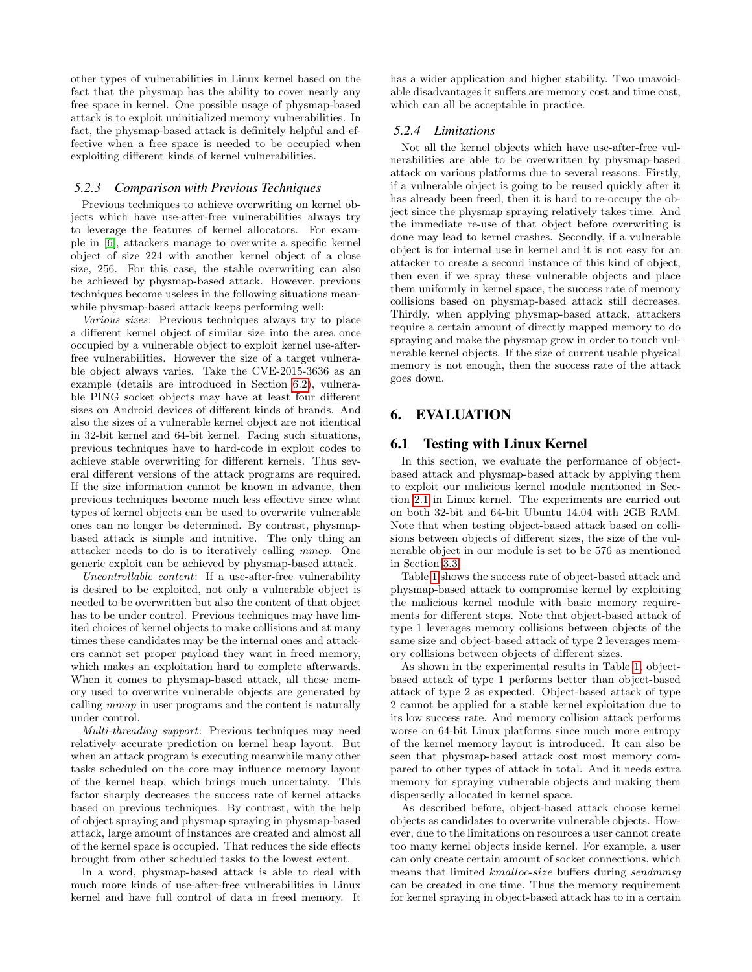other types of vulnerabilities in Linux kernel based on the fact that the physmap has the ability to cover nearly any free space in kernel. One possible usage of physmap-based attack is to exploit uninitialized memory vulnerabilities. In fact, the physmap-based attack is definitely helpful and effective when a free space is needed to be occupied when exploiting different kinds of kernel vulnerabilities.

#### *5.2.3 Comparison with Previous Techniques*

Previous techniques to achieve overwriting on kernel objects which have use-after-free vulnerabilities always try to leverage the features of kernel allocators. For example in [\[6\]](#page-10-2), attackers manage to overwrite a specific kernel object of size 224 with another kernel object of a close size, 256. For this case, the stable overwriting can also be achieved by physmap-based attack. However, previous techniques become useless in the following situations meanwhile physmap-based attack keeps performing well:

Various sizes: Previous techniques always try to place a different kernel object of similar size into the area once occupied by a vulnerable object to exploit kernel use-afterfree vulnerabilities. However the size of a target vulnerable object always varies. Take the CVE-2015-3636 as an example (details are introduced in Section [6.2\)](#page-8-0), vulnerable PING socket objects may have at least four different sizes on Android devices of different kinds of brands. And also the sizes of a vulnerable kernel object are not identical in 32-bit kernel and 64-bit kernel. Facing such situations, previous techniques have to hard-code in exploit codes to achieve stable overwriting for different kernels. Thus several different versions of the attack programs are required. If the size information cannot be known in advance, then previous techniques become much less effective since what types of kernel objects can be used to overwrite vulnerable ones can no longer be determined. By contrast, physmapbased attack is simple and intuitive. The only thing an attacker needs to do is to iteratively calling mmap. One generic exploit can be achieved by physmap-based attack.

Uncontrollable content: If a use-after-free vulnerability is desired to be exploited, not only a vulnerable object is needed to be overwritten but also the content of that object has to be under control. Previous techniques may have limited choices of kernel objects to make collisions and at many times these candidates may be the internal ones and attackers cannot set proper payload they want in freed memory, which makes an exploitation hard to complete afterwards. When it comes to physmap-based attack, all these memory used to overwrite vulnerable objects are generated by calling mmap in user programs and the content is naturally under control.

Multi-threading support: Previous techniques may need relatively accurate prediction on kernel heap layout. But when an attack program is executing meanwhile many other tasks scheduled on the core may influence memory layout of the kernel heap, which brings much uncertainty. This factor sharply decreases the success rate of kernel attacks based on previous techniques. By contrast, with the help of object spraying and physmap spraying in physmap-based attack, large amount of instances are created and almost all of the kernel space is occupied. That reduces the side effects brought from other scheduled tasks to the lowest extent.

In a word, physmap-based attack is able to deal with much more kinds of use-after-free vulnerabilities in Linux kernel and have full control of data in freed memory. It has a wider application and higher stability. Two unavoidable disadvantages it suffers are memory cost and time cost, which can all be acceptable in practice.

#### *5.2.4 Limitations*

Not all the kernel objects which have use-after-free vulnerabilities are able to be overwritten by physmap-based attack on various platforms due to several reasons. Firstly, if a vulnerable object is going to be reused quickly after it has already been freed, then it is hard to re-occupy the object since the physmap spraying relatively takes time. And the immediate re-use of that object before overwriting is done may lead to kernel crashes. Secondly, if a vulnerable object is for internal use in kernel and it is not easy for an attacker to create a second instance of this kind of object, then even if we spray these vulnerable objects and place them uniformly in kernel space, the success rate of memory collisions based on physmap-based attack still decreases. Thirdly, when applying physmap-based attack, attackers require a certain amount of directly mapped memory to do spraying and make the physmap grow in order to touch vulnerable kernel objects. If the size of current usable physical memory is not enough, then the success rate of the attack goes down.

# 6. EVALUATION

# 6.1 Testing with Linux Kernel

In this section, we evaluate the performance of objectbased attack and physmap-based attack by applying them to exploit our malicious kernel module mentioned in Section [2.1](#page-1-1) in Linux kernel. The experiments are carried out on both 32-bit and 64-bit Ubuntu 14.04 with 2GB RAM. Note that when testing object-based attack based on collisions between objects of different sizes, the size of the vulnerable object in our module is set to be 576 as mentioned in Section [3.3.](#page-3-3)

Table [1](#page-8-1) shows the success rate of object-based attack and physmap-based attack to compromise kernel by exploiting the malicious kernel module with basic memory requirements for different steps. Note that object-based attack of type 1 leverages memory collisions between objects of the same size and object-based attack of type 2 leverages memory collisions between objects of different sizes.

As shown in the experimental results in Table [1,](#page-8-1) objectbased attack of type 1 performs better than object-based attack of type 2 as expected. Object-based attack of type 2 cannot be applied for a stable kernel exploitation due to its low success rate. And memory collision attack performs worse on 64-bit Linux platforms since much more entropy of the kernel memory layout is introduced. It can also be seen that physmap-based attack cost most memory compared to other types of attack in total. And it needs extra memory for spraying vulnerable objects and making them dispersedly allocated in kernel space.

As described before, object-based attack choose kernel objects as candidates to overwrite vulnerable objects. However, due to the limitations on resources a user cannot create too many kernel objects inside kernel. For example, a user can only create certain amount of socket connections, which means that limited kmalloc-size buffers during sendmmsg can be created in one time. Thus the memory requirement for kernel spraying in object-based attack has to in a certain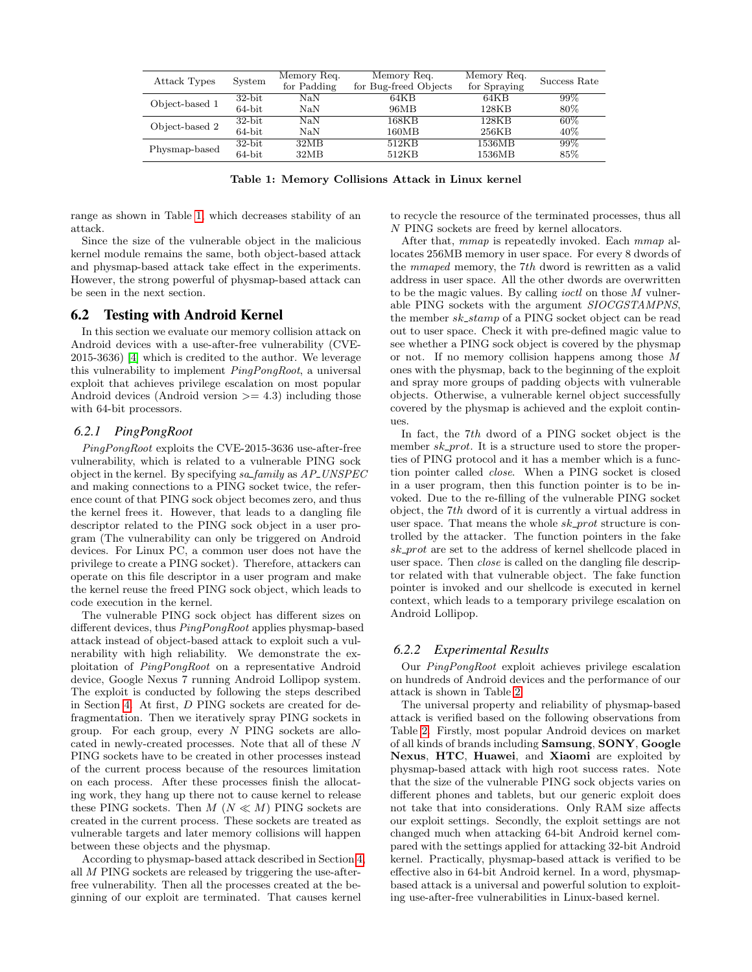| Attack Types   |           |             | Memory Req.           | Memory Req.  | Success Rate |  |
|----------------|-----------|-------------|-----------------------|--------------|--------------|--|
|                | System    | for Padding | for Bug-freed Objects | for Spraying |              |  |
| Object-based 1 | $32$ -bit | NaN         | 64KB                  | 64KB         | $99\%$       |  |
|                | 64-bit    | $\text{Na}$ | 96MB                  | 128KB        | 80%          |  |
| Object-based 2 | $32$ -bit | NaN         | 168KB                 | 128KB        | 60%          |  |
|                | 64-bit    | NaN         | 160MB                 | 256KB        | 40%          |  |
| Physmap-based  | $32$ -bit | 32MB        | 512KB                 | 1536MB       | 99%          |  |
|                | 64-bit    | 32MB        | 512KB                 | 1536MB       | 85%          |  |

Table 1: Memory Collisions Attack in Linux kernel

range as shown in Table [1,](#page-8-1) which decreases stability of an attack.

Since the size of the vulnerable object in the malicious kernel module remains the same, both object-based attack and physmap-based attack take effect in the experiments. However, the strong powerful of physmap-based attack can be seen in the next section.

#### <span id="page-8-0"></span>6.2 Testing with Android Kernel

In this section we evaluate our memory collision attack on Android devices with a use-after-free vulnerability (CVE-2015-3636) [\[4\]](#page-10-3) which is credited to the author. We leverage this vulnerability to implement PingPongRoot, a universal exploit that achieves privilege escalation on most popular Android devices (Android version  $\geq 4.3$ ) including those with 64-bit processors.

#### *6.2.1 PingPongRoot*

PingPongRoot exploits the CVE-2015-3636 use-after-free vulnerability, which is related to a vulnerable PING sock object in the kernel. By specifying  $sa\_family$  as  $AP\_UNSPEC$ and making connections to a PING socket twice, the reference count of that PING sock object becomes zero, and thus the kernel frees it. However, that leads to a dangling file descriptor related to the PING sock object in a user program (The vulnerability can only be triggered on Android devices. For Linux PC, a common user does not have the privilege to create a PING socket). Therefore, attackers can operate on this file descriptor in a user program and make the kernel reuse the freed PING sock object, which leads to code execution in the kernel.

The vulnerable PING sock object has different sizes on different devices, thus PingPongRoot applies physmap-based attack instead of object-based attack to exploit such a vulnerability with high reliability. We demonstrate the exploitation of PingPongRoot on a representative Android device, Google Nexus 7 running Android Lollipop system. The exploit is conducted by following the steps described in Section [4.](#page-4-1) At first, D PING sockets are created for defragmentation. Then we iteratively spray PING sockets in group. For each group, every  $N$  PING sockets are allocated in newly-created processes. Note that all of these N PING sockets have to be created in other processes instead of the current process because of the resources limitation on each process. After these processes finish the allocating work, they hang up there not to cause kernel to release these PING sockets. Then  $M$  ( $N \ll M$ ) PING sockets are created in the current process. These sockets are treated as vulnerable targets and later memory collisions will happen between these objects and the physmap.

According to physmap-based attack described in Section [4,](#page-4-1) all M PING sockets are released by triggering the use-afterfree vulnerability. Then all the processes created at the beginning of our exploit are terminated. That causes kernel

<span id="page-8-1"></span>to recycle the resource of the terminated processes, thus all N PING sockets are freed by kernel allocators.

After that, mmap is repeatedly invoked. Each mmap allocates 256MB memory in user space. For every 8 dwords of the mmaped memory, the 7th dword is rewritten as a valid address in user space. All the other dwords are overwritten to be the magic values. By calling *ioctl* on those  $M$  vulnerable PING sockets with the argument SIOCGSTAMPNS, the member  $sk\_stamp$  of a PING socket object can be read out to user space. Check it with pre-defined magic value to see whether a PING sock object is covered by the physmap or not. If no memory collision happens among those M ones with the physmap, back to the beginning of the exploit and spray more groups of padding objects with vulnerable objects. Otherwise, a vulnerable kernel object successfully covered by the physmap is achieved and the exploit continues.

In fact, the 7th dword of a PING socket object is the member  $sk\_prot$ . It is a structure used to store the properties of PING protocol and it has a member which is a function pointer called close. When a PING socket is closed in a user program, then this function pointer is to be invoked. Due to the re-filling of the vulnerable PING socket object, the 7th dword of it is currently a virtual address in user space. That means the whole  $sk\_{prot}$  structure is controlled by the attacker. The function pointers in the fake sk prot are set to the address of kernel shellcode placed in user space. Then *close* is called on the dangling file descriptor related with that vulnerable object. The fake function pointer is invoked and our shellcode is executed in kernel context, which leads to a temporary privilege escalation on Android Lollipop.

#### *6.2.2 Experimental Results*

Our PingPongRoot exploit achieves privilege escalation on hundreds of Android devices and the performance of our attack is shown in Table [2.](#page-9-0)

The universal property and reliability of physmap-based attack is verified based on the following observations from Table [2.](#page-9-0) Firstly, most popular Android devices on market of all kinds of brands including Samsung, SONY, Google Nexus, HTC, Huawei, and Xiaomi are exploited by physmap-based attack with high root success rates. Note that the size of the vulnerable PING sock objects varies on different phones and tablets, but our generic exploit does not take that into considerations. Only RAM size affects our exploit settings. Secondly, the exploit settings are not changed much when attacking 64-bit Android kernel compared with the settings applied for attacking 32-bit Android kernel. Practically, physmap-based attack is verified to be effective also in 64-bit Android kernel. In a word, physmapbased attack is a universal and powerful solution to exploiting use-after-free vulnerabilities in Linux-based kernel.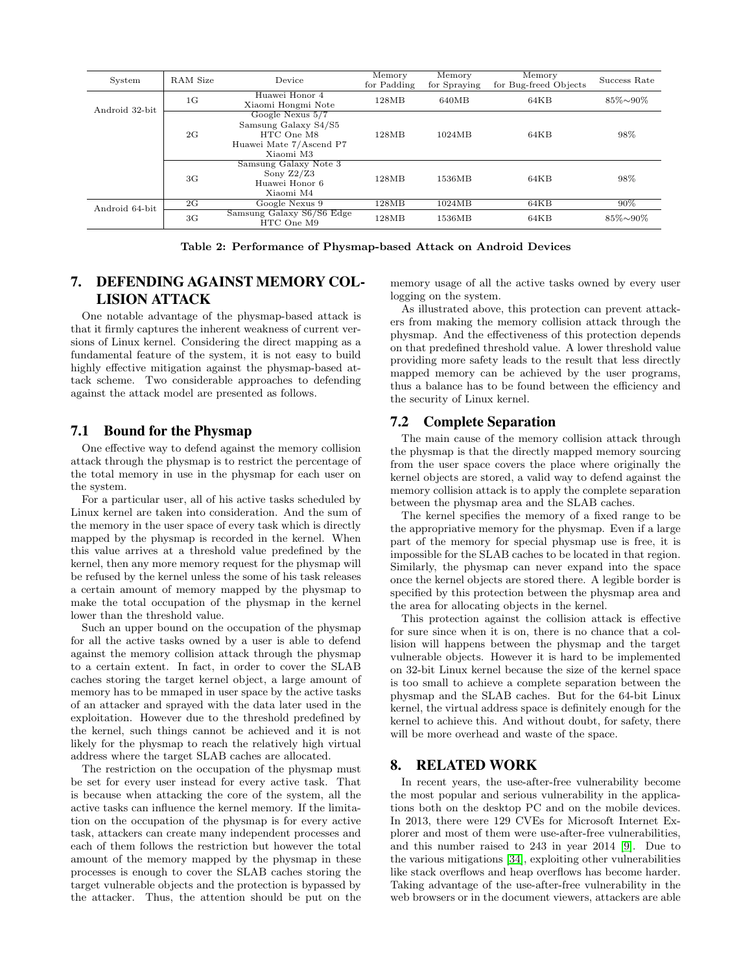| System         | RAM Size       | Device                                                                                         | Memory<br>for Padding | Memory<br>for Spraying | Memory<br>for Bug-freed Objects | Success Rate     |
|----------------|----------------|------------------------------------------------------------------------------------------------|-----------------------|------------------------|---------------------------------|------------------|
| Android 32-bit | 1G             | Huawei Honor 4<br>Xiaomi Hongmi Note                                                           | 128MB                 | 640MB                  | 64KB                            | $85\% \sim 90\%$ |
|                | 2G             | Google Nexus 5/7<br>Samsung Galaxy S4/S5<br>HTC One M8<br>Huawei Mate 7/Ascend P7<br>Xiaomi M3 | 128MB                 | 1024MB                 | 64KB                            | 98%              |
|                | 3 <sub>G</sub> | Samsung Galaxy Note 3<br>Sony $Z2/Z3$<br>Huawei Honor 6<br>Xiaomi M4                           | 128MB                 | 1536MB                 | 64KB                            | 98%              |
| Android 64-bit | 2G             | Google Nexus 9                                                                                 | 128MB                 | 1024MB                 | 64KB                            | $90\%$           |
|                | 3 <sub>G</sub> | Samsung Galaxy S6/S6 Edge<br>HTC One M9                                                        | 128MB                 | 1536MB                 | 64KB                            | $85\% \sim 90\%$ |

Table 2: Performance of Physmap-based Attack on Android Devices

# 7. DEFENDING AGAINST MEMORY COL-LISION ATTACK

One notable advantage of the physmap-based attack is that it firmly captures the inherent weakness of current versions of Linux kernel. Considering the direct mapping as a fundamental feature of the system, it is not easy to build highly effective mitigation against the physmap-based attack scheme. Two considerable approaches to defending against the attack model are presented as follows.

# 7.1 Bound for the Physmap

One effective way to defend against the memory collision attack through the physmap is to restrict the percentage of the total memory in use in the physmap for each user on the system.

For a particular user, all of his active tasks scheduled by Linux kernel are taken into consideration. And the sum of the memory in the user space of every task which is directly mapped by the physmap is recorded in the kernel. When this value arrives at a threshold value predefined by the kernel, then any more memory request for the physmap will be refused by the kernel unless the some of his task releases a certain amount of memory mapped by the physmap to make the total occupation of the physmap in the kernel lower than the threshold value.

Such an upper bound on the occupation of the physmap for all the active tasks owned by a user is able to defend against the memory collision attack through the physmap to a certain extent. In fact, in order to cover the SLAB caches storing the target kernel object, a large amount of memory has to be mmaped in user space by the active tasks of an attacker and sprayed with the data later used in the exploitation. However due to the threshold predefined by the kernel, such things cannot be achieved and it is not likely for the physmap to reach the relatively high virtual address where the target SLAB caches are allocated.

The restriction on the occupation of the physmap must be set for every user instead for every active task. That is because when attacking the core of the system, all the active tasks can influence the kernel memory. If the limitation on the occupation of the physmap is for every active task, attackers can create many independent processes and each of them follows the restriction but however the total amount of the memory mapped by the physmap in these processes is enough to cover the SLAB caches storing the target vulnerable objects and the protection is bypassed by the attacker. Thus, the attention should be put on the

<span id="page-9-0"></span>memory usage of all the active tasks owned by every user logging on the system.

As illustrated above, this protection can prevent attackers from making the memory collision attack through the physmap. And the effectiveness of this protection depends on that predefined threshold value. A lower threshold value providing more safety leads to the result that less directly mapped memory can be achieved by the user programs, thus a balance has to be found between the efficiency and the security of Linux kernel.

# 7.2 Complete Separation

The main cause of the memory collision attack through the physmap is that the directly mapped memory sourcing from the user space covers the place where originally the kernel objects are stored, a valid way to defend against the memory collision attack is to apply the complete separation between the physmap area and the SLAB caches.

The kernel specifies the memory of a fixed range to be the appropriative memory for the physmap. Even if a large part of the memory for special physmap use is free, it is impossible for the SLAB caches to be located in that region. Similarly, the physmap can never expand into the space once the kernel objects are stored there. A legible border is specified by this protection between the physmap area and the area for allocating objects in the kernel.

This protection against the collision attack is effective for sure since when it is on, there is no chance that a collision will happens between the physmap and the target vulnerable objects. However it is hard to be implemented on 32-bit Linux kernel because the size of the kernel space is too small to achieve a complete separation between the physmap and the SLAB caches. But for the 64-bit Linux kernel, the virtual address space is definitely enough for the kernel to achieve this. And without doubt, for safety, there will be more overhead and waste of the space.

# 8. RELATED WORK

In recent years, the use-after-free vulnerability become the most popular and serious vulnerability in the applications both on the desktop PC and on the mobile devices. In 2013, there were 129 CVEs for Microsoft Internet Explorer and most of them were use-after-free vulnerabilities, and this number raised to 243 in year 2014 [\[9\]](#page-10-4). Due to the various mitigations [\[34\]](#page-11-3), exploiting other vulnerabilities like stack overflows and heap overflows has become harder. Taking advantage of the use-after-free vulnerability in the web browsers or in the document viewers, attackers are able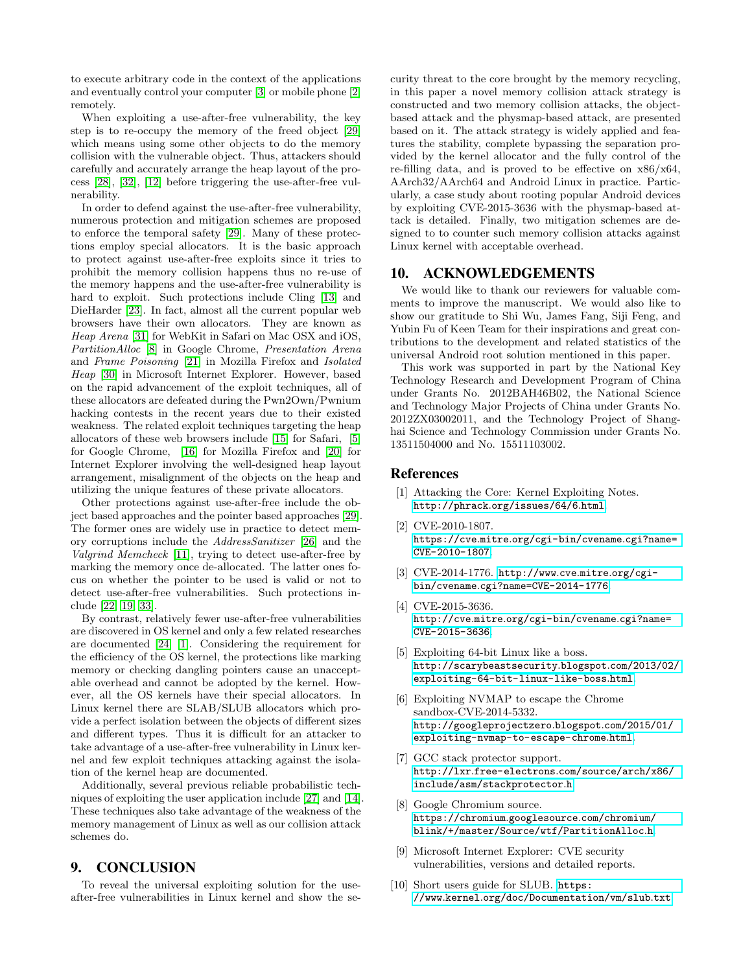to execute arbitrary code in the context of the applications and eventually control your computer [\[3\]](#page-10-5) or mobile phone [\[2\]](#page-10-6) remotely.

When exploiting a use-after-free vulnerability, the key step is to re-occupy the memory of the freed object [\[29\]](#page-11-4) which means using some other objects to do the memory collision with the vulnerable object. Thus, attackers should carefully and accurately arrange the heap layout of the process [\[28\]](#page-11-5), [\[32\]](#page-11-6), [\[12\]](#page-11-7) before triggering the use-after-free vulnerability.

In order to defend against the use-after-free vulnerability, numerous protection and mitigation schemes are proposed to enforce the temporal safety [\[29\]](#page-11-4). Many of these protections employ special allocators. It is the basic approach to protect against use-after-free exploits since it tries to prohibit the memory collision happens thus no re-use of the memory happens and the use-after-free vulnerability is hard to exploit. Such protections include Cling [\[13\]](#page-11-8) and DieHarder [\[23\]](#page-11-9). In fact, almost all the current popular web browsers have their own allocators. They are known as Heap Arena [\[31\]](#page-11-10) for WebKit in Safari on Mac OSX and iOS, PartitionAlloc [\[8\]](#page-10-7) in Google Chrome, Presentation Arena and Frame Poisoning [\[21\]](#page-11-11) in Mozilla Firefox and Isolated Heap [\[30\]](#page-11-12) in Microsoft Internet Explorer. However, based on the rapid advancement of the exploit techniques, all of these allocators are defeated during the Pwn2Own/Pwnium hacking contests in the recent years due to their existed weakness. The related exploit techniques targeting the heap allocators of these web browsers include [\[15\]](#page-11-13) for Safari, [\[5\]](#page-10-8) for Google Chrome, [\[16\]](#page-11-14) for Mozilla Firefox and [\[20\]](#page-11-15) for Internet Explorer involving the well-designed heap layout arrangement, misalignment of the objects on the heap and utilizing the unique features of these private allocators.

Other protections against use-after-free include the object based approaches and the pointer based approaches [\[29\]](#page-11-4). The former ones are widely use in practice to detect memory corruptions include the AddressSanitizer [\[26\]](#page-11-16) and the Valgrind Memcheck [\[11\]](#page-11-17), trying to detect use-after-free by marking the memory once de-allocated. The latter ones focus on whether the pointer to be used is valid or not to detect use-after-free vulnerabilities. Such protections include [\[22,](#page-11-18) [19,](#page-11-19) [33\]](#page-11-20).

By contrast, relatively fewer use-after-free vulnerabilities are discovered in OS kernel and only a few related researches are documented [\[24\]](#page-11-21) [\[1\]](#page-10-9). Considering the requirement for the efficiency of the OS kernel, the protections like marking memory or checking dangling pointers cause an unacceptable overhead and cannot be adopted by the kernel. However, all the OS kernels have their special allocators. In Linux kernel there are SLAB/SLUB allocators which provide a perfect isolation between the objects of different sizes and different types. Thus it is difficult for an attacker to take advantage of a use-after-free vulnerability in Linux kernel and few exploit techniques attacking against the isolation of the kernel heap are documented.

Additionally, several previous reliable probabilistic techniques of exploiting the user application include [\[27\]](#page-11-22) and [\[14\]](#page-11-23). These techniques also take advantage of the weakness of the memory management of Linux as well as our collision attack schemes do.

# 9. CONCLUSION

To reveal the universal exploiting solution for the useafter-free vulnerabilities in Linux kernel and show the security threat to the core brought by the memory recycling, in this paper a novel memory collision attack strategy is constructed and two memory collision attacks, the objectbased attack and the physmap-based attack, are presented based on it. The attack strategy is widely applied and features the stability, complete bypassing the separation provided by the kernel allocator and the fully control of the re-filling data, and is proved to be effective on x86/x64, AArch32/AArch64 and Android Linux in practice. Particularly, a case study about rooting popular Android devices by exploiting CVE-2015-3636 with the physmap-based attack is detailed. Finally, two mitigation schemes are designed to to counter such memory collision attacks against Linux kernel with acceptable overhead.

# 10. ACKNOWLEDGEMENTS

We would like to thank our reviewers for valuable comments to improve the manuscript. We would also like to show our gratitude to Shi Wu, James Fang, Siji Feng, and Yubin Fu of Keen Team for their inspirations and great contributions to the development and related statistics of the universal Android root solution mentioned in this paper.

This work was supported in part by the National Key Technology Research and Development Program of China under Grants No. 2012BAH46B02, the National Science and Technology Major Projects of China under Grants No. 2012ZX03002011, and the Technology Project of Shanghai Science and Technology Commission under Grants No. 13511504000 and No. 15511103002.

### References

- <span id="page-10-9"></span>[1] Attacking the Core: Kernel Exploiting Notes. http://phrack.[org/issues/64/6](http://phrack.org/issues/64/6.html).html.
- <span id="page-10-6"></span>[2] CVE-2010-1807. https://cve.mitre.[org/cgi-bin/cvename](https://cve.mitre.org/cgi-bin/cvename.cgi?name=CVE-2010-1807).cgi?name= [CVE-2010-1807](https://cve.mitre.org/cgi-bin/cvename.cgi?name=CVE-2010-1807).
- <span id="page-10-5"></span>[3] CVE-2014-1776. [http://www](http://www.cve.mitre.org/cgi-bin/cvename.cgi?name=CVE-2014-1776).cve.mitre.org/cgibin/cvename.[cgi?name=CVE-2014-1776](http://www.cve.mitre.org/cgi-bin/cvename.cgi?name=CVE-2014-1776).
- <span id="page-10-3"></span>[4] CVE-2015-3636. http://cve.mitre.[org/cgi-bin/cvename](http://cve.mitre.org/cgi-bin/cvename.cgi?name=CVE-2015-3636).cgi?name= [CVE-2015-3636](http://cve.mitre.org/cgi-bin/cvename.cgi?name=CVE-2015-3636).
- <span id="page-10-8"></span>[5] Exploiting 64-bit Linux like a boss. [http://scarybeastsecurity](http://scarybeastsecurity.blogspot.com/2013/02/exploiting-64-bit-linux-like-boss.html).blogspot.com/2013/02/ [exploiting-64-bit-linux-like-boss](http://scarybeastsecurity.blogspot.com/2013/02/exploiting-64-bit-linux-like-boss.html).html.
- <span id="page-10-2"></span>[6] Exploiting NVMAP to escape the Chrome sandbox-CVE-2014-5332. [http://googleprojectzero](http://googleprojectzero.blogspot.com/2015/01/exploiting-nvmap-to-escape-chrome.html).blogspot.com/2015/01/ [exploiting-nvmap-to-escape-chrome](http://googleprojectzero.blogspot.com/2015/01/exploiting-nvmap-to-escape-chrome.html).html.
- <span id="page-10-0"></span>[7] GCC stack protector support. http://lxr.free-electrons.[com/source/arch/x86/](http://lxr.free-electrons.com/source/arch/x86/include/asm/stackprotector.h) [include/asm/stackprotector](http://lxr.free-electrons.com/source/arch/x86/include/asm/stackprotector.h).h.
- <span id="page-10-7"></span>[8] Google Chromium source. [https://chromium](https://chromium.googlesource.com/chromium/blink/+/master/Source/wtf/PartitionAlloc.h).googlesource.com/chromium/ [blink/+/master/Source/wtf/PartitionAlloc](https://chromium.googlesource.com/chromium/blink/+/master/Source/wtf/PartitionAlloc.h).h.
- <span id="page-10-4"></span>[9] Microsoft Internet Explorer: CVE security vulnerabilities, versions and detailed reports.
- <span id="page-10-1"></span>[10] Short users guide for SLUB. [https:](https://www.kernel.org/doc/Documentation/vm/slub.txt) //www.kernel.[org/doc/Documentation/vm/slub](https://www.kernel.org/doc/Documentation/vm/slub.txt).txt.